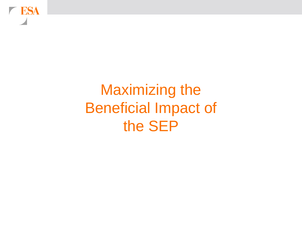**ESA** 

# Maximizing the Beneficial Impact of the SEP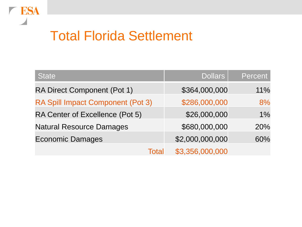## Total Florida Settlement

| <b>State</b>                       | <b>Dollars</b>  | Percent |
|------------------------------------|-----------------|---------|
| <b>RA Direct Component (Pot 1)</b> | \$364,000,000   | 11%     |
| RA Spill Impact Component (Pot 3)  | \$286,000,000   | 8%      |
| RA Center of Excellence (Pot 5)    | \$26,000,000    | 1%      |
| <b>Natural Resource Damages</b>    | \$680,000,000   | 20%     |
| <b>Economic Damages</b>            | \$2,000,000,000 | 60%     |
| <b>Total</b>                       | \$3,356,000,000 |         |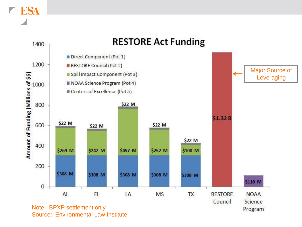

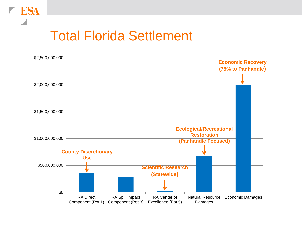

#### Total Florida Settlement

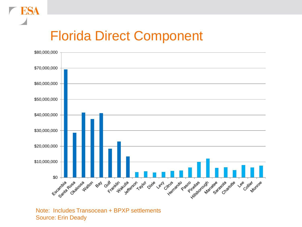### Florida Direct Component

ESA



Note: Includes Transocean + BPXP settlements Source: Erin Deady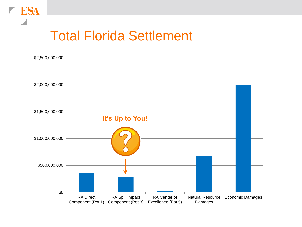

#### Total Florida Settlement

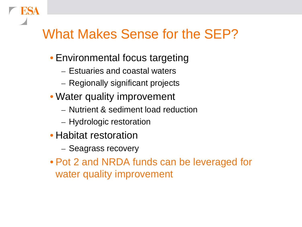#### What Makes Sense for the SEP?

- Environmental focus targeting
	- Estuaries and coastal waters
	- Regionally significant projects
- Water quality improvement
	- Nutrient & sediment load reduction
	- Hydrologic restoration
- Habitat restoration
	- Seagrass recovery
- Pot 2 and NRDA funds can be leveraged for water quality improvement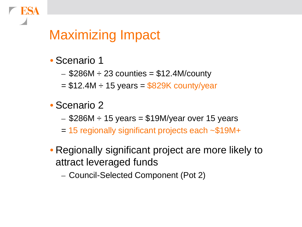#### Maximizing Impact

- Scenario 1
	- $-$  \$286M  $\div$  23 counties = \$12.4M/county
	- $= $12.4M \div 15$  years  $= $829K$  county/year
- Scenario 2
	- $-$  \$286M  $\div$  15 years = \$19M/year over 15 years
	- $=$  15 regionally significant projects each  $\sim$ \$19M+
- Regionally significant project are more likely to attract leveraged funds
	- Council-Selected Component (Pot 2)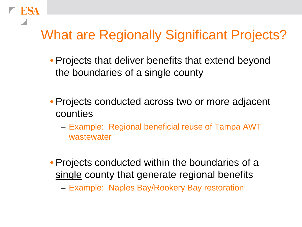### What are Regionally Significant Projects?

- Projects that deliver benefits that extend beyond the boundaries of a single county
- Projects conducted across two or more adjacent counties
	- Example: Regional beneficial reuse of Tampa AWT wastewater
- Projects conducted within the boundaries of a single county that generate regional benefits
	- Example: Naples Bay/Rookery Bay restoration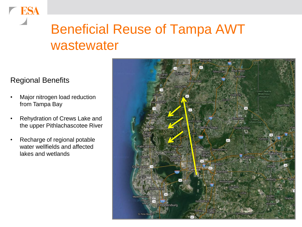### Beneficial Reuse of Tampa AWT wastewater

#### Regional Benefits

- Major nitrogen load reduction from Tampa Bay
- Rehydration of Crews Lake and the upper Pithlachascotee River
- Recharge of regional potable water wellfields and affected lakes and wetlands

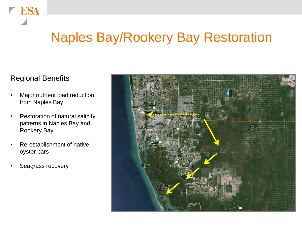#### Naples Bay/Rookery Bay Restoration

#### Regional Benefits

- Major nutrient load reduction from Naples Bay
- Restoration of natural salinity patterns in Naples Bay and Rookery Bay
- Re-establishment of native oyster bars
- Seagrass recovery

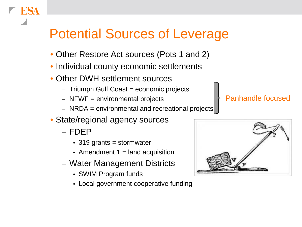### Potential Sources of Leverage

- Other Restore Act sources (Pots 1 and 2)
- Individual county economic settlements
- Other DWH settlement sources
	- $-$  Triumph Gulf Coast = economic projects
	- $-$  NFWF = environmental projects
	- $-$  NRDA = environmental and recreational projects
- State/regional agency sources
	- FDEP
		- 319 grants = stormwater
		- Amendment  $1 =$  land acquisition
	- Water Management Districts
		- SWIM Program funds
		- Local government cooperative funding

#### Panhandle focused

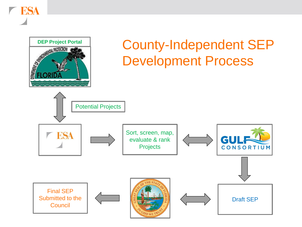ESA

# **DEP Project Portal County-Independent SEP**<br> **Development Process** Development Process

Potential Projects Sort, screen, map, **ESA** evaluate & rank GU CONSORTIUM **Projects** Final SEP Submitted to the Draft SEP **Council**